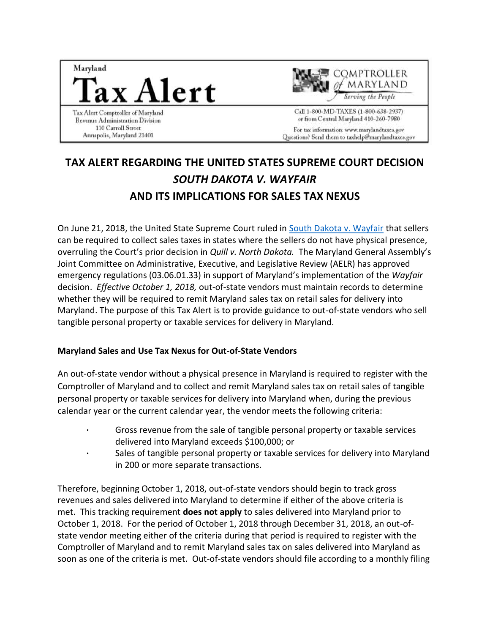



Call 1-800-MD-TAXES (1-800-638-2937) or from Central Maryland 410-260-7980 For tax information: www.marylandtaxes.gov Questions? Send them to taxhelp@marylandtaxes.gov

# **TAX ALERT REGARDING THE UNITED STATES SUPREME COURT DECISION**  *SOUTH DAKOTA V. WAYFAIR* **AND ITS IMPLICATIONS FOR SALES TAX NEXUS**

On June 21, 2018, the United State Supreme Court ruled in [South Dakota v. Wayfair](https://www.supremecourt.gov/opinions/17pdf/17-494_j4el.pdf) that sellers can be required to collect sales taxes in states where the sellers do not have physical presence, overruling the Court's prior decision in *Quill v. North Dakota.* The Maryland General Assembly's Joint Committee on Administrative, Executive, and Legislative Review (AELR) has approved emergency regulations (03.06.01.33) in support of Maryland's implementation of the *Wayfair* decision. *Effective October 1, 2018,* out-of-state vendors must maintain records to determine whether they will be required to remit Maryland sales tax on retail sales for delivery into Maryland. The purpose of this Tax Alert is to provide guidance to out-of-state vendors who sell tangible personal property or taxable services for delivery in Maryland.

#### **Maryland Sales and Use Tax Nexus for Out-of-State Vendors**

An out-of-state vendor without a physical presence in Maryland is required to register with the Comptroller of Maryland and to collect and remit Maryland sales tax on retail sales of tangible personal property or taxable services for delivery into Maryland when, during the previous calendar year or the current calendar year, the vendor meets the following criteria:

- **·** Gross revenue from the sale of tangible personal property or taxable services delivered into Maryland exceeds \$100,000; or
- **·** Sales of tangible personal property or taxable services for delivery into Maryland in 200 or more separate transactions.

Therefore, beginning October 1, 2018, out-of-state vendors should begin to track gross revenues and sales delivered into Maryland to determine if either of the above criteria is met. This tracking requirement **does not apply** to sales delivered into Maryland prior to October 1, 2018. For the period of October 1, 2018 through December 31, 2018, an out-ofstate vendor meeting either of the criteria during that period is required to register with the Comptroller of Maryland and to remit Maryland sales tax on sales delivered into Maryland as soon as one of the criteria is met. Out-of-state vendors should file according to a monthly filing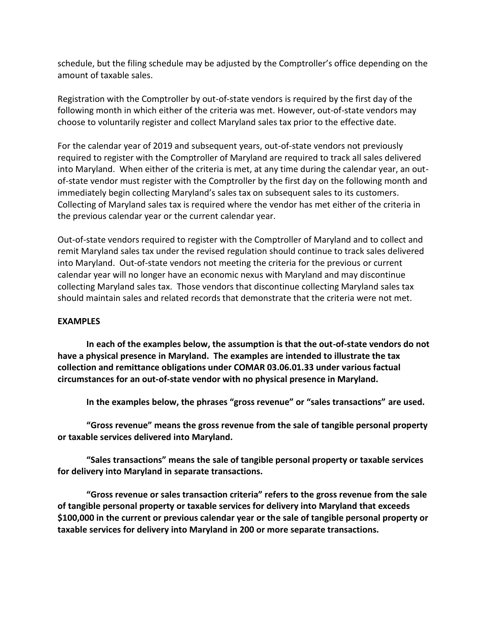schedule, but the filing schedule may be adjusted by the Comptroller's office depending on the amount of taxable sales.

Registration with the Comptroller by out-of-state vendors is required by the first day of the following month in which either of the criteria was met. However, out-of-state vendors may choose to voluntarily register and collect Maryland sales tax prior to the effective date.

For the calendar year of 2019 and subsequent years, out-of-state vendors not previously required to register with the Comptroller of Maryland are required to track all sales delivered into Maryland. When either of the criteria is met, at any time during the calendar year, an outof-state vendor must register with the Comptroller by the first day on the following month and immediately begin collecting Maryland's sales tax on subsequent sales to its customers. Collecting of Maryland sales tax is required where the vendor has met either of the criteria in the previous calendar year or the current calendar year.

Out-of-state vendors required to register with the Comptroller of Maryland and to collect and remit Maryland sales tax under the revised regulation should continue to track sales delivered into Maryland. Out-of-state vendors not meeting the criteria for the previous or current calendar year will no longer have an economic nexus with Maryland and may discontinue collecting Maryland sales tax. Those vendors that discontinue collecting Maryland sales tax should maintain sales and related records that demonstrate that the criteria were not met.

#### **EXAMPLES**

**In each of the examples below, the assumption is that the out-of-state vendors do not have a physical presence in Maryland. The examples are intended to illustrate the tax collection and remittance obligations under COMAR 03.06.01.33 under various factual circumstances for an out-of-state vendor with no physical presence in Maryland.**

**In the examples below, the phrases "gross revenue" or "sales transactions" are used.** 

**"Gross revenue" means the gross revenue from the sale of tangible personal property or taxable services delivered into Maryland.**

**"Sales transactions" means the sale of tangible personal property or taxable services for delivery into Maryland in separate transactions.**

**"Gross revenue or sales transaction criteria" refers to the gross revenue from the sale of tangible personal property or taxable services for delivery into Maryland that exceeds \$100,000 in the current or previous calendar year or the sale of tangible personal property or taxable services for delivery into Maryland in 200 or more separate transactions.**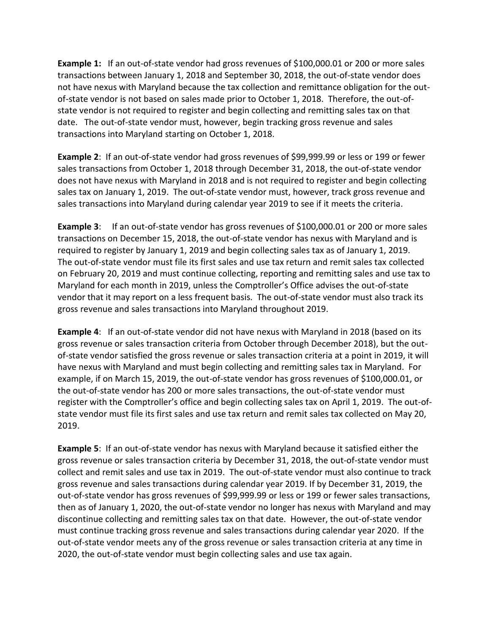**Example 1:** If an out-of-state vendor had gross revenues of \$100,000.01 or 200 or more sales transactions between January 1, 2018 and September 30, 2018, the out-of-state vendor does not have nexus with Maryland because the tax collection and remittance obligation for the outof-state vendor is not based on sales made prior to October 1, 2018. Therefore, the out-ofstate vendor is not required to register and begin collecting and remitting sales tax on that date. The out-of-state vendor must, however, begin tracking gross revenue and sales transactions into Maryland starting on October 1, 2018.

**Example 2**: If an out-of-state vendor had gross revenues of \$99,999.99 or less or 199 or fewer sales transactions from October 1, 2018 through December 31, 2018, the out-of-state vendor does not have nexus with Maryland in 2018 and is not required to register and begin collecting sales tax on January 1, 2019. The out-of-state vendor must, however, track gross revenue and sales transactions into Maryland during calendar year 2019 to see if it meets the criteria.

**Example 3**: If an out-of-state vendor has gross revenues of \$100,000.01 or 200 or more sales transactions on December 15, 2018, the out-of-state vendor has nexus with Maryland and is required to register by January 1, 2019 and begin collecting sales tax as of January 1, 2019. The out-of-state vendor must file its first sales and use tax return and remit sales tax collected on February 20, 2019 and must continue collecting, reporting and remitting sales and use tax to Maryland for each month in 2019, unless the Comptroller's Office advises the out-of-state vendor that it may report on a less frequent basis. The out-of-state vendor must also track its gross revenue and sales transactions into Maryland throughout 2019.

**Example 4**: If an out-of-state vendor did not have nexus with Maryland in 2018 (based on its gross revenue or sales transaction criteria from October through December 2018), but the outof-state vendor satisfied the gross revenue or sales transaction criteria at a point in 2019, it will have nexus with Maryland and must begin collecting and remitting sales tax in Maryland. For example, if on March 15, 2019, the out-of-state vendor has gross revenues of \$100,000.01, or the out-of-state vendor has 200 or more sales transactions, the out-of-state vendor must register with the Comptroller's office and begin collecting sales tax on April 1, 2019. The out-ofstate vendor must file its first sales and use tax return and remit sales tax collected on May 20, 2019.

**Example 5**: If an out-of-state vendor has nexus with Maryland because it satisfied either the gross revenue or sales transaction criteria by December 31, 2018, the out-of-state vendor must collect and remit sales and use tax in 2019. The out-of-state vendor must also continue to track gross revenue and sales transactions during calendar year 2019. If by December 31, 2019, the out-of-state vendor has gross revenues of \$99,999.99 or less or 199 or fewer sales transactions, then as of January 1, 2020, the out-of-state vendor no longer has nexus with Maryland and may discontinue collecting and remitting sales tax on that date. However, the out-of-state vendor must continue tracking gross revenue and sales transactions during calendar year 2020. If the out-of-state vendor meets any of the gross revenue or sales transaction criteria at any time in 2020, the out-of-state vendor must begin collecting sales and use tax again.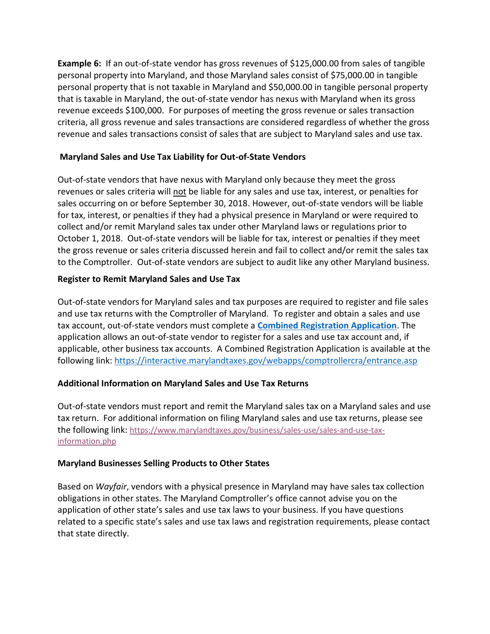**Example 6:** If an out-of-state vendor has gross revenues of \$125,000.00 from sales of tangible personal property into Maryland, and those Maryland sales consist of \$75,000.00 in tangible personal property that is not taxable in Maryland and \$50,000.00 in tangible personal property that is taxable in Maryland, the out-of-state vendor has nexus with Maryland when its gross revenue exceeds \$100,000. For purposes of meeting the gross revenue or sales transaction criteria, all gross revenue and sales transactions are considered regardless of whether the gross revenue and sales transactions consist of sales that are subject to Maryland sales and use tax.

### **Maryland Sales and Use Tax Liability for Out-of-State Vendors**

Out-of-state vendors that have nexus with Maryland only because they meet the gross revenues or sales criteria will not be liable for any sales and use tax, interest, or penalties for sales occurring on or before September 30, 2018. However, out-of-state vendors will be liable for tax, interest, or penalties if they had a physical presence in Maryland or were required to collect and/or remit Maryland sales tax under other Maryland laws or regulations prior to October 1, 2018. Out-of-state vendors will be liable for tax, interest or penalties if they meet the gross revenue or sales criteria discussed herein and fail to collect and/or remit the sales tax to the Comptroller. Out-of-state vendors are subject to audit like any other Maryland business.

#### **Register to Remit Maryland Sales and Use Tax**

Out-of-state vendors for Maryland sales and tax purposes are required to register and file sales and use tax returns with the Comptroller of Maryland. To register and obtain a sales and use tax account, out-of-state vendors must complete a **[Combined Registration Application](https://interactive.marylandtaxes.gov/webapps/comptrollercra/entrance.asp)**. The application allows an out-of-state vendor to register for a sales and use tax account and, if applicable, other business tax accounts. A Combined Registration Application is available at the following link:<https://interactive.marylandtaxes.gov/webapps/comptrollercra/entrance.asp>

## **Additional Information on Maryland Sales and Use Tax Returns**

Out-of-state vendors must report and remit the Maryland sales tax on a Maryland sales and use tax return. For additional information on filing Maryland sales and use tax returns, please see the following link: [https://www.marylandtaxes.gov/business/sales-use/sales-and-use-tax](https://www.marylandtaxes.gov/business/sales-use/sales-and-use-tax-information.php)[information.php](https://www.marylandtaxes.gov/business/sales-use/sales-and-use-tax-information.php)

#### **Maryland Businesses Selling Products to Other States**

Based on *Wayfair*, vendors with a physical presence in Maryland may have sales tax collection obligations in other states. The Maryland Comptroller's office cannot advise you on the application of other state's sales and use tax laws to your business. If you have questions related to a specific state's sales and use tax laws and registration requirements, please contact that state directly.